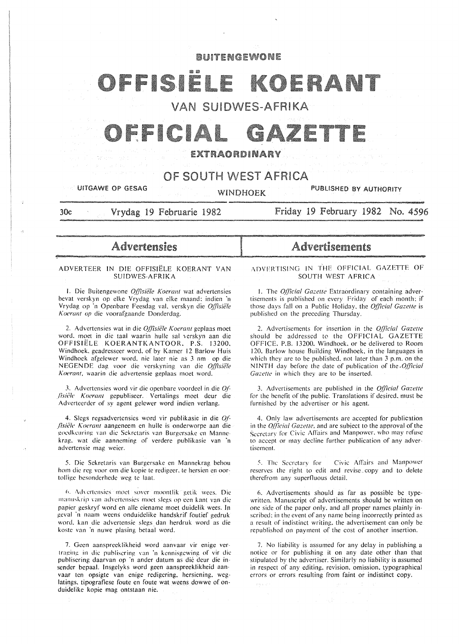# **BUITENGEWONE**

# OFFISIELE KOERANT

# **VAN SUIDWES-AFRIKA**

# FICI

# EXTRAORDINARY

# OF SOUTH WEST AFRICA

UITGAWE OP GESAG WINDHOEK PUBLISHED BY AUTHORITY

30c Vrydag 19 Februarie 1982

Friday 19 February 1982 No. 4596

Advertensies

#### ADVERTEER IN DIE OFFISIELE KOERANT VAN SU!DWES-AFRIKA

I. Die Buitengewone *Offisiële Koerant* wat advertensies bevat verskyn op elke Vrydag van elke maand; indien 'n Vrydag op 'n Openbare Feesdag vaL verskyn die *Of(lsiele*  Koeranl op die voorafgaande Donderdag.

2. Advertensies wat in die *OJTtsiiile Koeranl* geplaas moet word. moet in die taal waarin hulle sal verskyn aan die OFFISIELE KOERANTKANTOOR. P.S. 13200. Windhoek. geadresseer word. of by Kamer 12 Barlow Huis Windhoek afgelewer word. nic later nic as 3 nm op die NEGENDE dag voor die verskyning van die Offisiële Koerant, waarin die advertensie geplaas moet word.

3. Advertensies word vir die openbare voordeel in die  $Of$ -*.flsii.;le Koerant* gcpubliscer. Vertalings moet deur die Adverteerder of sy agent gelewer word indien verlang.

4. Slegs regsadvertensies word vir publikasie in die *Qf* fisiële *Koerant* aangeneem en hulle is onderworpe aan die goedkeuring van die Sekretaris van Burgersake en Mannekrag. wat die aanneming of verdere publikasie van 'n advertensie mag weier.

5. Die Sekretaris van Burgersake en Mannekrag behou hom die reg voor om die kopie te redigeer, te hersien en oortollige besonderhede weg te laat.

6. Advertensies moet sover moontlik getik wees. Die manuskrip van advertensies moet slegs op een kant van die papier geskryf word en aile eiename moet duidclik wees. In geval ·n naam weens onduidelike handskrif foutief gedruk word. kan die advertensie slegs dan herdruk word as die koste van 'n nuwe plasing betaal word.

7. Gccn aansprecklikheid word aanvaar vir enige vertraging in die publisering van 'n kennisgewing of vir die puhlisering daarvan op ·n ander datum as die deur die insender bepaal. lnsgelyks word geen aanspreeklikheid aan· vaar ten opsigte van enige redigering. hersiening. weglatings. tipogratiese foute en foute wat weens dowwc of onduidelike kopie mag ontstaan nie.

# Advertisements

\DVFRTISING IN THE OFFICIAL GAZETTE OF SOUTH WEST AFRICA

1. The *Official Gazette* Extraordinary containing advertisements is published on every Friday of each month: if those clays fall on a Public Holiday, the *Q[!icia/ Gazelle* is published on the preceding Thursday.

2. Advertisements for insertion in the *Q{llcial Gazelle*  should be addressed to the OFFICIAL GAZETTE OFFICE, P.B. 13200. Windhoek. or be delivered to Room 120. Barlow house Building Windhoek. in the languages in which they are to be published, not later than 3 p.m. on the NINTH day before the date of publication of the *.Q{IIcial Gazette* in which they are to be inserted.

3. Advertisements are published in the *Official Gazette* for the benefit of the public. Translations if desired. must be furnished by the advertiser or his agent.

4. Only law advertisements are accepted for publication in the *Official Gazette*, and are subject to the approval of the Secretary for Civic Affairs and Manpower, who may refuse to accept or may decline further publication of any advertisement.

5. The Secretary for Civic Affairs and Manpower reserves the right to edit and revise~ copy and to delete therefrom any superfluous detail.

6. Advertisements should as far as possible be typewritten. Manuscript of advertisements should be written on one side of the paper only. and all proper names plainly inscribed: in the event of any name being incorrectly printed as a result of indistinct writing. the advertisement can only be republished on payment of the cost of another insertion.

7. No liability is assumed for any delay in publishing a notice or for publishing it on any date other than that stipulated by the advertiser. Similarly no liability is assumed in respect of any editing. revision. omission. typographical errors or errors resulting from faint or indistinct copy.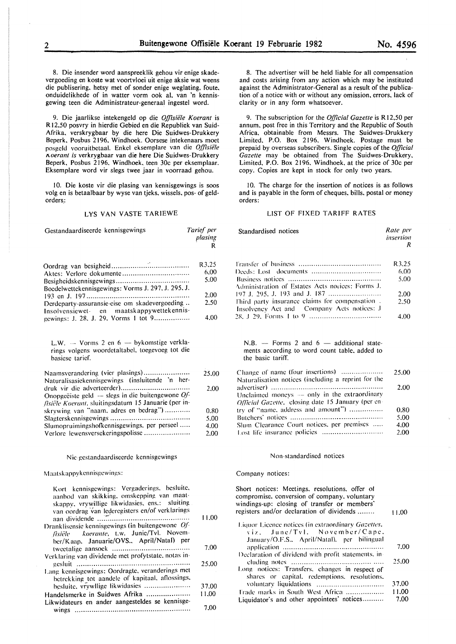8. Die insender word aanspreeklik gehou vir enige skadevergoeding en koste wat voortvloei uit enige aksie wat weens die publisering. hetsy met of sonder enige weglating, foute, onduidelikhede of in watter vorm ook al, van 'n kennisgewing teen die Administrateur-generaal ingestel word.

9. Die jaarlikse intekengeld op die *Offisiële Koerant* is R 12,50 posvry in hierdie Gebied en die Republiek van Suid-Afrika, verskrygbaar by die here Die Suidwes-Drukkery Beperk, Posbus 2196, Windhoek. Oorsese intekenaars moet posgcld vooruitbctaal. Enkel eksemplare van die *Q{fisie'le 1\0erant is* verkrygbaar van die here Die Suidwes-Drukkery Beperk, Posbus 2196, Windhoek, teen 30c per eksemplaar. Eksemplare word vir slegs twee jaar in voorraad gehou.

10. Die koste vir die plasing van kennisgewings is soos volg en is betaalbaar by wyse van tjeks, wissels, pos- of geldorders.:

#### LYS VAN VASTE TARIEWE

| Gestandaardiseerde kennisgewings |         | Tarief per<br>plasing |
|----------------------------------|---------|-----------------------|
| Oordrog van hesigheid            | $\cdot$ | R3.25                 |

| $UU$ urag van designeru $\ldots \ldots \ldots \ldots \ldots \ldots \ldots \ldots \ldots \ldots$ |       |
|-------------------------------------------------------------------------------------------------|-------|
|                                                                                                 | 6.00. |
|                                                                                                 | 5.00  |
| Boedelwettekennisgewings: Vorms J. 297, J. 295, J.                                              |       |
|                                                                                                 | 2.00  |
| Derdeparty-assuransie-eise om skadevergoeding                                                   | 2.50  |
| Insolvensiewet- en maatskappywettekennis-                                                       |       |
| gewings: J. 28, J. 29, Vorms 1 tot 9                                                            | 4.00  |

L.W.  $-$  Vorms 2 en  $6 -$  bykomstige verklarings volgens woordetaltabel. toegevoeg tot die basiesc tarief.

| Naamsverandering (vier plasings)                     | 25.00 |
|------------------------------------------------------|-------|
| Naturalisasiekennisgewings (insluitende 'n her-      |       |
|                                                      | 2.00  |
| Onopgeëiste geld $-$ slegs in die buitengewone Of-   |       |
| fisiële Koerant, sluitingsdatum 15 Januarie (per in- |       |
| skrywing van "naam, adres en bedrag")                | 0.80  |
|                                                      | 5.00  |
| Slumopruimingshofkennisgewings, per perseel          | 4.00  |
| Verlore lewensversekeringspolisse                    | 2.00  |

#### Nie gestandaardiseerdc kennisgewings

Maatsk appykennisgewings:

| Kort kennisgewings: Vergaderings, besluite,<br>aanbod van skikking, omskepping van maat-<br>skappy, vrywillige likwidasies, ens.: sluiting<br>van oordrag van lederegisters en/of verklarings |       |
|-----------------------------------------------------------------------------------------------------------------------------------------------------------------------------------------------|-------|
|                                                                                                                                                                                               | 11.00 |
| Dranklisensie kennisgewings (in buitengewone Of-<br>fisiële koerante, t.w. Junie/Tvl. Novem-<br>ber/Kaap. Januarie/OVS April/Natal) per                                                       |       |
|                                                                                                                                                                                               | 7.00  |
| Verklaring van dividende met profytstate, notas in-                                                                                                                                           |       |
|                                                                                                                                                                                               | 25.00 |
| Lang kennisgewings: Oordragte, veranderings met                                                                                                                                               |       |
| betrekking tot aandele of kapitaal, aflossings,                                                                                                                                               |       |
| besluite, vrywllige likwidasies                                                                                                                                                               | 37.00 |
| Handelsmerke in Suidwes Afrika                                                                                                                                                                | 11.00 |
| Likwidateurs en ander aangesteldes se kennisge-                                                                                                                                               |       |
|                                                                                                                                                                                               | 7.00  |

*Rate per* 

8. The advertiser will be held liable for all compensation and costs arising from any action which may be instituted against the Administrator-General as a result of the publication of a notice with or without any omission, errors. lack of clarity or in any form whatsoever.

9. The subscription for the *Q{ficial Gazette* is R 12,50 per annum. post free in this Territory and the Republic of South Africa. obtainable from Messrs. The Suidwes-Drukkery Limited, P.O. Box 2196. Windhoek. Postage must be prepaid by overseas subscribers. Single copies of the *Official Gazette* may be obtained from The Suidwes-Drukkery, Limited, P.O. Box 2196, Windhoek, at the price of 30c per copy. Copies are kept in stock for only two years.

10. The charge for the insertion of notices is as follows and is payable in the form of cheques, bills. postal or money orders:

# LIST OF FIXED TARIFF RATES

|                                                                                              | insertion<br>R |
|----------------------------------------------------------------------------------------------|----------------|
|                                                                                              | R3.25          |
|                                                                                              | 6.00           |
| Administration of Estates Acts notices: Forms J.                                             | 5.00           |
|                                                                                              | 2.00           |
| Third party insurance claims for compensation.<br>Insolvency Act and Company Acts notices: J | 2.50           |
|                                                                                              | 4.00           |

 $N.B.$  - Forms 2 and  $6$  - additional statements according to word count table. added to the basic tariff.

| Change of name (four insertions)                    | 25.00 |
|-----------------------------------------------------|-------|
| Naturalisation notices (including a reprint for the |       |
|                                                     | 2.00  |
| Unclaimed moneys -- only in the extraordinary       |       |
| Official Gazette, closing date 15 January (per en-  |       |
| try of "name, address and amount")                  | 0.80  |
|                                                     | 5.00  |
| Slum Clearance Court notices, per premises          | 4.00  |
|                                                     | 2.00  |
|                                                     |       |

#### Non-standardised notices

#### Company notices:

Standardised notices

| Short notices: Meetings, resolutions, offer of<br>compromise, conversion of company, voluntary<br>windings-up: closing of transfer or members'<br>registers and/or declaration of dividends | 11.00 |
|---------------------------------------------------------------------------------------------------------------------------------------------------------------------------------------------|-------|
| Liquor Licence notices (in extraordinary Gazettes,                                                                                                                                          |       |
| viz. June/Tyl. November/Cape.                                                                                                                                                               |       |
| January/O.F.S., April/Natal), per bilingual                                                                                                                                                 |       |
|                                                                                                                                                                                             | 7.00  |
| Declaration of dividend with profit statements, in-                                                                                                                                         |       |
|                                                                                                                                                                                             | 25.00 |
| Long notices: Transfers, changes in respect of                                                                                                                                              |       |
| shares or capital, redemptions, resolutions,                                                                                                                                                |       |
| voluntary liquidations                                                                                                                                                                      | 37,00 |
| Frade marks in South West Africa                                                                                                                                                            | 11.00 |
| Liquidator's and other appointees' notices                                                                                                                                                  | 7.00  |
|                                                                                                                                                                                             |       |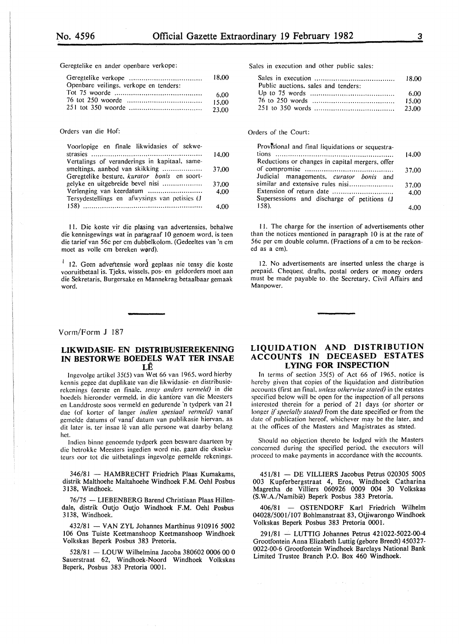Geregtelike en ander openbare verkope:

|                                        | 18.00  |
|----------------------------------------|--------|
| Openbare veilings, verkope en tenders: |        |
|                                        | 6.00   |
|                                        | 15.00  |
|                                        | -23.00 |

#### Orders van die Hof:

| Voorlopige en finale likwidasies of sekwe-    |       |
|-----------------------------------------------|-------|
|                                               | 14,00 |
| Vertalings of veranderings in kapitaal, same- |       |
| smeltings, aanbod van skikking                | 37.00 |
| Geregtelike besture, kurator bonis en soort-  |       |
| gelyke en uitgebreide bevel nisi              | 37.00 |
|                                               | 4.00  |
| Tersydestellings en afwysings van petisies (J |       |
|                                               | 4.00  |

II. Die koste vir die plasing van advertensies. behalwe die kennisgewings wat in paragraaf 10 genoem word, is teen die tarief van 56c per em dubbelkolom. (Gedeeltes van 'n em moet as volle cm bereken word).

<sup>1</sup> 12. Geen advertensie word geplaas nie tensy die koste vooruitbetaal is. Tjeks. wissels, pos- en geldorders moet aan die Sekretaris, Burgersake en Mannekrag betaalbaar gemaak word.

#### Vorm/Form J 187

#### **LIKWIDASIE- EN DISTRIBUSIEREKENING IN BESTORWE BOEDELS WAT TER INSAE LE**

lngevolge artikel 35(5) van Wet 66 van 1965, word hierby kennis gegee dat duplikate van die likwidasie- en distribusierekcnings (eerste en finale. *tensy anders vermeld)* in die hoedels hierondcr vermeld. in die kantore van die Meesters en Landdroste soos vermeld en gedurende 'n tydperk van 21 dac (of korter of Ianger *indien spesiaal vermeld)* vanaf gcmcldc datums of vanaf datum van publikasie hiervan. as dit later is, ter insae lê van alle persone wat daarby belang het.

Indien binne genoemde tydperk geen besware daarteen by die hetrokke Meesters ingcdien word nie. gaan die eksekuteurs oor tot die uitbetalings ingevolge gemelde rckenings.

346/81 - HAMBRECHT Friedrich Plaas Kumakams, distrik Malthoehe Maltahoehe Windhoek F.M. Oehl Posbus 3138, Windhoek.

76/75 - LIEBENBERG Barend Christiaan Plaas Hillendale, distrik Outjo Outjo Windhoek F.M. Oehl Posbus 3138, Windhoek.

432/81 - VAN ZYL Johannes Marthinus 910916 5002 106 Ons Tuiste Keetmanshoop Keetmanshoop Windhoek Volkskas Beperk Posbus 383 Pretoria.

528/81 - LOUW Wilhelmina Jacoba 380602 0006 00 0 Sauerstraat 62, Windhoek-Noord Windhoek Volkskas Beperk, Posbus 383 Pretoria 0001.

Sales in execution and other public sales:

| Public auctions, sales and tenders: |       |
|-------------------------------------|-------|
|                                     |       |
|                                     | 15.00 |
|                                     |       |

Orders of the Court:

| Provisional and final liquidations or sequestra- |       |
|--------------------------------------------------|-------|
|                                                  | 14.00 |
| Reductions or changes in capital mergers, offer  |       |
|                                                  | 37.00 |
| Judicial managements, curator bonis and          |       |
| similar and extensive rules nisi                 | 37.00 |
| Extension of return date                         | 4.00  |
| Supersessions and discharge of petitions (J      |       |
| 158).                                            |       |

11. The charge for the insertion of advertisements other than the notices mentioned in paragraph 10 is at the rate of 56c per em double column. (Fractions of a em to be reckoned as a em).

12. No advertisements are inserted unless the charge is prepaid. Cheques, drafts, postal orders or money orders must be made payable to. the Secretary, Civil Affairs and Manpower.

# **LIQUIDATION AND DISTRIBUTION ACCOUNTS IN DECEASED ESTATES LYING FOR INSPECTION**

In terms of section 35(5) of Act 66 of 1965. notice is hereby given that copies of the liquidation and distribution accounts (first an final. *unless otherwise stated)* in the estates specified below will be open for the inspection of all persons interested therein for a period of 21 days (or shorter or longer *if specially stated*) from the date specified or from the date of publication hereof. whichever may be the later. and at the offices of the Masters and Magistrates as stated.

Should no objection thereto be lodged with the Masters concerned during the specified period. the executors will proceed to make payments in accordance with the accounts.

451/81 - DE VILLIERS Jacobus Petrus 020305 5005 003 Kupferbergstraat 4, Eros, Windhoek Catharina Magretha de Villiers 060926 0009 004 30 Volkskas (S.W.A./Namibie) Beperk Posbus 383 Pretoria.

406/81 - OSTENDORF Karl Friedrich Wilhelm 04028/5001/107 Bohlmanstraat 83, Otjiwarongo Windhoek Volkskas Beperk Posbus 383 Pretoria 0001.

291/81 - LUTTIG Johannes Petrus 421022-5022-00-4 Grootfontein Anna Elizabeth Luttig (gebore Breedt) 450327- 0022-00-6 Grootfontein Windhoek Barclays National Bank Limited Trustee Branch P.O. Box 460 Windhoek.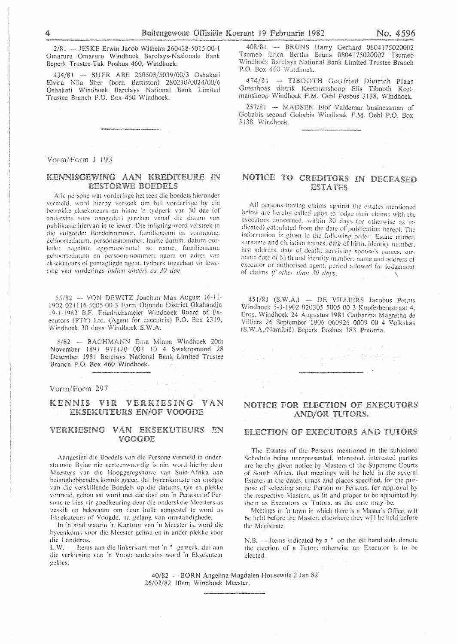2/81 - JESKE Erwin Jacob Wilhelm 260428-5015-00-1 Omaruru Omaruru Windhoek Barclays-Nasionale Bank Beperk Trustee-Tak Posbus 460, Windhoek.

434/81 - SHER ABE 250503/5039/00/3 Oshakati Elvira Nila Sher (born Battiston) 280210/0024/00/6 Oshakati Windhoek Barclays National Bank Limited<br>Trustee Branch P.O. Box 460 Windhoek.

Vorm/Form J 193

### KENNISGEWING AAN KREDITEURE IN **BESTORWE BOEDELS**

Alle persone wat vorderinge het teen die boedels hieronder vermeld, word hierby versoek om hul vorderinge by die betrokke eksekuteurs en binne 'n tydperk van 30 dae (of andersins soos aangedui) gereken vanaf die datum van publikasie hiervan in te lewer. Die inligting word verstrek in die volgorde: Boedelnommer, familienaam en voorname, geboortedatum, persoonsnommer, laaste datum, datum oorlede: nagelate eggenoot(note) se name, familienaam, geboortedatum en persoonsnommer: naam en adres van eksekuteurs of gemagtigde agent, tydperk toegelaat vir lewering van vorderings indien anders as 30 dae.

55/82 - VON DEWITZ Joachim Max August 16-11-1902 021116-5005-00-3 Farm Otjundu District Okahandja 19-1-1982 B.F. Friedrichsmeier Windhoek Board of Executors (PTY) Ltd. (Agent for executrix) P.O. Box 2319, Windhoek 30 days Windhoek S.W.A.

8/82 - BACHMANN Erna Minna Windhoek 20th November 1897 971120 003 10 4 Swakopmund 28 Desember 1981 Barclays National Bank Limited Trustee Branch P.O. Box 460 Windhoek.

Vorm/Form 297

#### KENNIS VIR VERKIESING VAN **EKSEKUTEURS EN/OF VOOGDE**

### VERKIESING VAN EKSEKUTEURS EN VOOGDE

Aangesien die Boedels van die Persone vermeld in onderstaande Bylae nie verteenwoordig is nie, word hierby deur Mccstcrs van die Hooggercgshowc van Suid Afrika aan belanghebbendes kennis gegee. dat byeenkomste ten opsigte van die verskillende Boedcls op die datums, tyc en plckke vermeld, gehou sal word met die doel om 'n Persoon of Persone te kies vir goedkeuring deur die onderskeie Meesters as geskik en bekwaam om deur hulle aangestel te word as Fksekuteurs of Voogde, na gelang van omstandighede.

In 'n stad waarin 'n Kantoor van 'n Meester is, word die hyecnkoms voor die Meester gchou en in andcr plekkc voor die Landdros.

L.W. -- Items aan die linkerkant met 'n \* gemerk, dui aan die verkicsing van 'n Voog: andersins word 'n Eksekutcur **gckics.** 

408/81 - BRUNS Harry Gerhard 0804175020002 Tsumeb Erica Bertha Bruns 0804175020002 Tsumeb Windhoek Barclays National Bank Limited Trustee Branch P.O. Box 460 Windhoek.

474/81 - TIBOOTH Gottfried Dietrich Plaas Gutenhoas distrik Keetmanshoop Elis Tibooth Keetmanshoop Windhoek F.M. Oehl Posbus 3138, Windhoek.

 $257/81$  -- MADSEN Elof Valdemar businessman of Gobabis second Gobabis Windhoek F.M. Oehl P.O. Box 3138. Windhoek.

# NOTICE TO CREDITORS IN DECEASED **ESTATES**

All persons having claims against the estates mentioned below are hereby called upon to lodge their claims with the executors concerned, within 30 days (or otherwise as indicated) calculated from the date of publication hereof. The information is given in the following order: Estate numer, surname and christian names, date of birth, identity number, last address, date of death; surviving spouse's names, surname date of birth and identity number; name and address of executor or authorised agent, period allowed for lodgement of claims if other than 30 days.

451/81 (S.W.A.) - DE VILLIERS Jacobus Petrus Windhoek 5-3-1902 020305 5005 00 3 Kupferbergstraat 4. Eros, Windhoek 24 Augustus 1981 Catharina Magretha de Villiers 26 September 1906 060926 0009 00 4 Volkskas (S.W.A./Namibië) Beperk Posbus 383 Pretoria.

#### NOTICE FOR ELECTION OF EXECUTORS AND/OR TUTORS.

#### **ELECTION OF EXECUTORS AND TUTORS**

The Estates of the Persons mentioned in the subjoined Schedule being unrepresented, interested, interested parties are hereby given notice by Masters of the Supereme Courts of South Africa, that meetings will be held in the several Estates at the dates. times and places specified. for the purpose of selecting some Person or Persons. for approval by the respective Masters, as fit and proper to be appointed by them as Executors or Tutors. as the case may be.

Meetings in 'n town in which there is a Master's Office, will be held before the Master: elsewhere thev will be held before the Magistrate.

 $N.B.$  -Items indicated by a  $*$  on the left hand side, denote the election of a Tutor: otherwise an Executor is to be elected.

40/82 -- BORN Angelina Magdalen Housewife 2 Jan 82 26/02/82 !Ovm Windhoek Meester.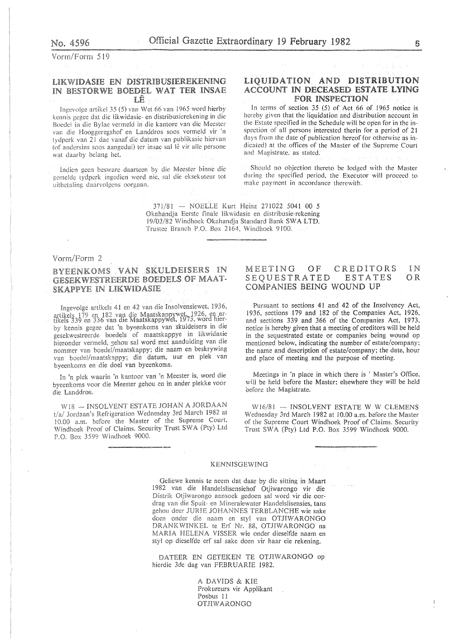Vorm/Form 519

# LIKWIDASIE EN DISTRIBUSIEREKENING IN BESTORWE BOEDEL WAT TER INSAE IJÊ

Ingevolge artikel 35 (5) van Wet 66 van 1965 word hierby kennis gegee dat die likwidasie- en distribusierekening in die Boedel in die Bylae vermeld in die kantore van die Meester van die Hooggeregshof en Landdros soos vermeld vir 'n van 21 dac vanaf die datum van publikasic hicrvan (of andersins soos aangedui) ter insae sal lê vir alle persone wat daarby belang het.

Indien geen besware daarteen by die Meester binne die gemelde tydperk ingedien word nie, sal die eksekuteur tot uitbetaling daarvolgens oorgaan.

## LIQUIDATION AND DISTRIBUTION ACCOUNT IN DECEASED ESTATE LYING **FOR INSPECTION**

In terms of section  $35$  (5) of Act 66 of 1965 notice is hereby given that the liquidation and distribution account in the Estate specified in the Schedule will be open for in the inspection of al! persons interested therin for a period of 21 days from the date qf publication hereof (or otherwise as indicated) at the oftices of the Master of the Supreme Court and Magistrate. as stated.

Should no objection thereto be lodged with the Master during the specified period. the Executor will proceed lo make payment in accordance therewith.

371/81 - NOELLE Kurt Heinz 271022 5041 00 5 Okahandja Eerste finale likwidasie en distribusie-rekening 19/02/82 Windhoek Okahandja Standard Bank SWA LTD. Trustee Branch P.O. Box 2164, Windhoek 9100.

#### Vorm/Form 2

BYEENKOMS VAN SKULDEISERS IN GESEKWESTREERDE BOEDELS OF MAAT-**SKAPPYE IN LIKWIDASIE** 

Ingevolge artikels 41 en 42 van die Insolvensiewet, 1936, ingevolgen in 182 van die Maatskappywer, 1926, en artikels 179 en 182 van die Maatskappywer, 1973, word hierby kennis gegee dat 'n byeenkoms van skuldeisers in die gesekwestreerde boedels of maatskappye in likwidasie hieronder vermeld, gehou sal word met aanduiding van die nommer van boedel/maatskappy; die naam en beskrywing van boedel/maatskappy; die datum, uur en plek van byeenkoms en die doel van byeenkoms.

In 'n plek waarin 'n kantoor van 'n Meester is, word die byeenkoms voor die Meester gehou en in ander plekke voor Landdros.

 $W18$  - INSOLVENT ESTATE JOHAN A JORDAAN W16/81 - INSOLVENT ESTATE W W CLEMENS  $W16$  Jordaan's Refrigeration Wednesday 3rd March 1982 at Wednesday 3rd March 1982 at 10.00 a.m. before the Master t/a/ Jordaan's Refrigeration Wednesday 3rd March 1982 at 10.00 a.m. before the Master of the Supreme Court, Windhoek Proof of Claims. Security Trust SWA (Pty) Ltd P.O. Box 3599 Windhoek 9000.

## MEETING OF CREDITORS IN SEQUESTRATED ESTATES OR COMPANIES BEING WOUND UP

Pursuant to sections 41 and 42 of the Insolvency Act, 1936, sections !79 and 182 of the Companies Act, 1926, and sections 339 and 366 of the Companies Act, 1973, notice is hereby given that a meeting of creditors will be held in the sequestrated estate or companies being wound op mentioned below, indicating the number of estate/company; the name and description of estate/company; the date, hour and place of meeting and the purpose of meeting.

Meetings in 'n place in which there is ' Master's Office, will be held before the Master; elsewhere they will be held oefore the Magistrate.

of the Supreme Court Windhoek Proof of Claims. Security Trust SWA (Pty) Ltd P.O. Box 3599 Windhoek 9000.

#### KENNISGEWING

Geliewe kennis te neem dat daar by die sitting in Maart 1982 van die Handelslisensiehof Otjiwarongo vir die Distrik Otjiwarongo aansoek gedoen sal word vir die oordrag van die Spuit- en Mineralewater Handelslisensies, tans gehou deur JURIE JOHANNES TERBLANCHE wie sake doen onder die naam en styl van OTJIWARONGO DRANKWINKEL te Erf Nr. 88, OTJIWARONGO na MARIA HELENA VISSER wie onder dieselfde naam en styl op dieselfde erf sal sake doen vir haar eie rekening.

DATEER EN GETEKEN TE OTJIWARONGO op hierdie 3de dag van FEBRUARIE 1982.

> A DAVIDS & KIE Prokureurs vir Applikant Posbus 11 OTJIW ARONGO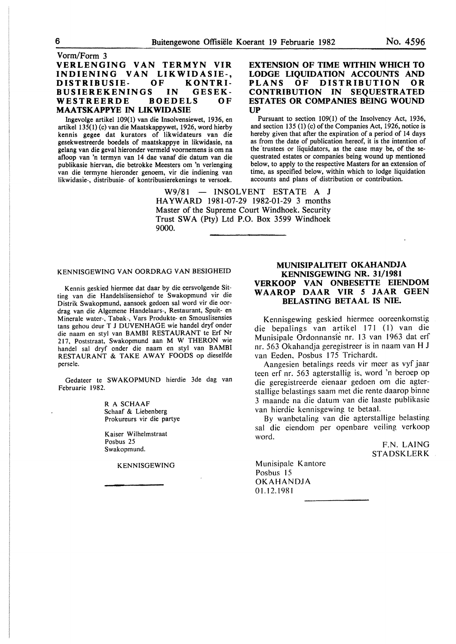# Vorm/Form 3 VERLENGING VAN TERMYN VIR INDIENING VAN LIKWIDASIE-, DISTRIBUSIE- OF KONTRI-BUSIEREKENINGS IN GESEK-<br>WESTREERDE BOEDELS OF WESTREERDE MAATSKAPPYE IN LIKWIDASIE

Ingevolge artikel 109(1) van die Insolvensiewet, 1936, en artikel 135(1) (c) van die Maatskappywet, 1926, word hierby kennis gegee dat kurators of likwidateurs van die gesekwestreerde boedels of maatskappye in likwidasie, na gelang van die geval hieronder vermeld voornemens is om na afloop van 'n termyn van 14 dae vanaf die datum van die publikasie hiervan, die betrokke Meesters om 'n verlenging van die termyne hieronder genoem, vir die indiening van likwidasie-, distribusie- of kontribusierekenings te versoek.

## EXTENSION OF TIME WITHIN WHICH TO LODGE LIQUIDATION ACCOUNTS AND<br>PLANS OF DISTRIBUTION OR **DISTRIBUTION** CONTRIBUTION IN SEQUESTRATED ESTATES OR COMPANIES BEING WOUND UP

Pursuant to section 109(1) of the Insolvency Act, 1936, and section 135 (1) (c) of the Companies Act, 1926, notice is hereby given that after the expiration of a period of 14 days as from the date of publication hereof, it is the intention of the trustees or liquidators, as the case may be, of the sequestrated estates or companies being wound up mentioned below, to apply to the respective Masters for an extension of time, as specified below, within which to lodge liquidation accounts and plans of distribution or contribution.

 $W9/81$  - INSOLVENT ESTATE A J HAYWARD 1981-07-29 1982-01-29 3 months Master of the Supreme Court Windhoek. Security Trust SWA (Pty) Ltd P.O. Box 3599 Windhoek 9000.

#### KENNISGEWING VAN OORDRAG VAN BESIGHEID

Kennis geskied hiermee dat daar by die eersvolgende Sitting van die Handelslisensiehof te Swakopmund vir die Distrik Swakopmund, aansoek gedoen sal word vir die oordrag van die Algemene Handelaars-, Restaurant, Spuit- en Minerale water-, Tabak-, Vars Produkte- en Smouslisensies tans gehou deur T J DUVENHAGE wie handel dryf onder die naam en sty! van BAMBI RESTAURANT te Erf Nr 217, Poststraat, Swakopmund aan M W THERON wie handel sal dryf onder die naam en sty! van BAMBI RESTAURANT & TAKE AWAY FOODS op dieselfde persele.

Gedateer te SW AKOPMUND hierdie 3de dag van Februarie 1982.

> R A SCHAAF Schaaf & Liebenberg Prokureurs vir die partye

Kaiser Wilhelmstraat Posbus 25 Swakopmund.

KENNISGEWING

# MUNISIPALITEIT OKAHANDJA KENNISGEWING NR. 31/1981 VERKOOP VAN ONBESETTE EIENDOM WAAROP DAAR VIR *S* JAAR GEEN BELASTING BETAAL IS NIE.

Kennisgewing geskied hiermee ooreenkomstig die bepalings van artikel 171 (I) van die M unisipale Ordonnansie nr. 13 van 1963 dat erf nr. 563 Okahandja geregistreer is in naam van H J van Eeden. Posbus 175 Trichardt.

Aangesien betalings reeds vir meer as vyf jaar teen erf nr. 563 agterstallig is. word 'n beroep op die geregistreerde eienaar gedoen om die agterstallige belastings saam met die rente daarop binne 3 maande na die datum van die laaste publikasie van hierdie kennisgewing te betaal.

By wanbetaling van die agterstallige belasting sal die eiendom per openbare veiling verkoop word.

> F.N. LAING STADSKLERK

Munisipalc Kantorc Posbus 15 OKAHANDJA 01.12.1981